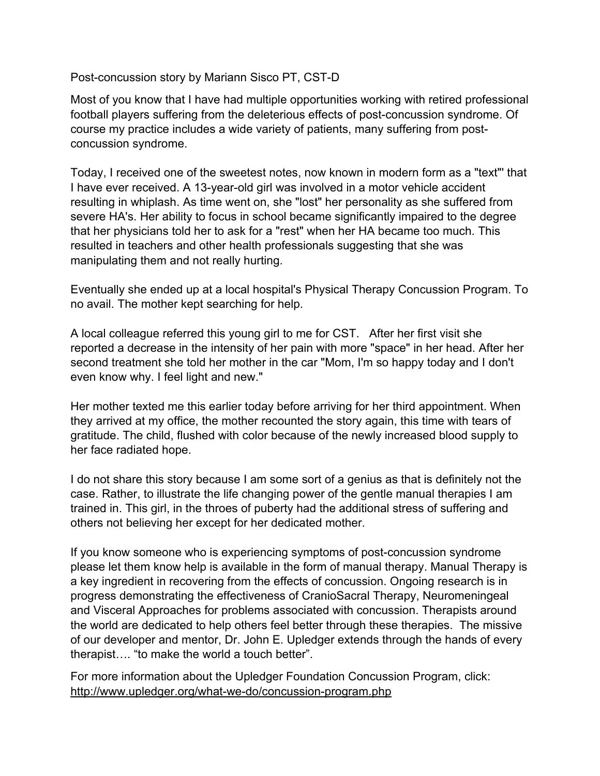Post-concussion story by Mariann Sisco PT, CST-D

Most of you know that I have had multiple opportunities working with retired professional football players suffering from the deleterious effects of post-concussion syndrome. Of course my practice includes a wide variety of patients, many suffering from postconcussion syndrome.

Today, I received one of the sweetest notes, now known in modern form as a "text"' that I have ever received. A 13-year-old girl was involved in a motor vehicle accident resulting in whiplash. As time went on, she "lost" her personality as she suffered from severe HA's. Her ability to focus in school became significantly impaired to the degree that her physicians told her to ask for a "rest" when her HA became too much. This resulted in teachers and other health professionals suggesting that she was manipulating them and not really hurting.

Eventually she ended up at a local hospital's Physical Therapy Concussion Program. To no avail. The mother kept searching for help.

A local colleague referred this young girl to me for CST. After her first visit she reported a decrease in the intensity of her pain with more "space" in her head. After her second treatment she told her mother in the car "Mom, I'm so happy today and I don't even know why. I feel light and new."

Her mother texted me this earlier today before arriving for her third appointment. When they arrived at my office, the mother recounted the story again, this time with tears of gratitude. The child, flushed with color because of the newly increased blood supply to her face radiated hope.

I do not share this story because I am some sort of a genius as that is definitely not the case. Rather, to illustrate the life changing power of the gentle manual therapies I am trained in. This girl, in the throes of puberty had the additional stress of suffering and others not believing her except for her dedicated mother.

If you know someone who is experiencing symptoms of post-concussion syndrome please let them know help is available in the form of manual therapy. Manual Therapy is a key ingredient in recovering from the effects of concussion. Ongoing research is in progress demonstrating the effectiveness of CranioSacral Therapy, Neuromeningeal and Visceral Approaches for problems associated with concussion. Therapists around the world are dedicated to help others feel better through these therapies. The missive of our developer and mentor, Dr. John E. Upledger extends through the hands of every therapist…. "to make the world a touch better".

For more information about the Upledger Foundation Concussion Program, click: http://www.upledger.org/what-we-do/concussion-program.php